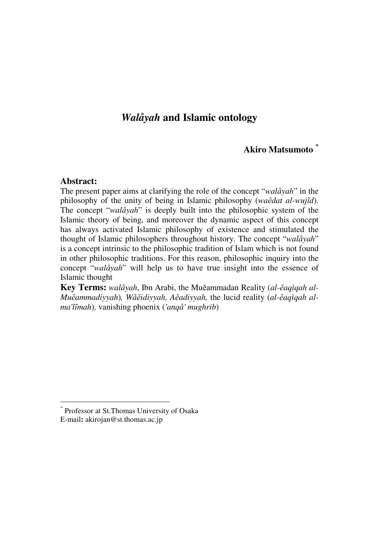# *Walåyah* **and Islamic ontology**

## **Akiro Matsumoto \***

#### **Abstract:**

 $\overline{a}$ 

The present paper aims at clarifying the role of the concept "*walåyah*" in the philosophy of the unity of being in Islamic philosophy (*wa*ĕ*dat al-wuj*ĩ*d*). The concept "*walåyah*" is deeply built into the philosophic system of the Islamic theory of being, and moreover the dynamic aspect of this concept has always activated Islamic philosophy of existence and stimulated the thought of Islamic philosophers throughout history. The concept "*walåyah*" is a concept intrinsic to the philosophic tradition of Islam which is not found in other philosophic traditions. For this reason, philosophic inquiry into the concept "*walåyah*" will help us to have true insight into the essence of Islamic thought

**Key Terms:** *walåyah*, Ibn Arabi, the Muĕammadan Reality (*al-*ĕ*aqìqah al-Mu*ĕ*ammadiyyah*)*, Wå*ĕ*idiyyah, A*ĕ*adiyyah,* the lucid reality (*al-*ĕ*aqìqah alma'l*ĩ*mah*)*,* vanishing phoenix (*'anqå' mughrib*)

<sup>\*</sup> Professor at St.Thomas University of Osaka E-mail**:** akirojan@st.thomas.ac.jp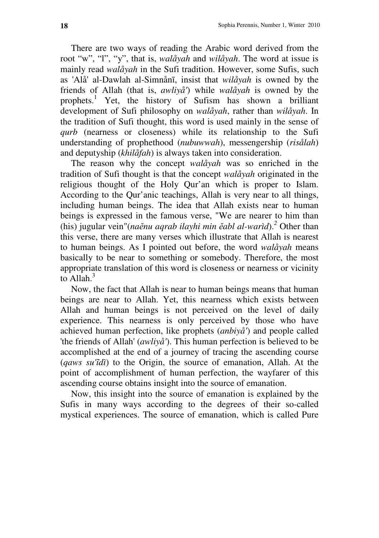There are two ways of reading the Arabic word derived from the root "w", "l", "y", that is, *walåyah* and *wilåyah*. The word at issue is mainly read *walåyah* in the Sufi tradition. However, some Sufis, such as 'Alå' al-Dawlah al-Simnånī, insist that *wilåyah* is owned by the friends of Allah (that is, *awliyå'*) while *walåyah* is owned by the prophets.<sup>1</sup> Yet, the history of Sufism has shown a brilliant development of Sufi philosophy on *walåyah*, rather than *wilåyah*. In the tradition of Sufi thought, this word is used mainly in the sense of *qurb* (nearness or closeness) while its relationship to the Sufi understanding of prophethood (*nubuwwah*), messengership (*risålah*) and deputyship (*khilåfah*) is always taken into consideration.

The reason why the concept *walåyah* was so enriched in the tradition of Sufi thought is that the concept *walåyah* originated in the religious thought of the Holy Qur'an which is proper to Islam. According to the Qur'anic teachings, Allah is very near to all things, including human beings. The idea that Allah exists near to human beings is expressed in the famous verse, "We are nearer to him than (his) jugular vein"(*na*ĕ*nu aqrab ilayhi min* ĕ*abl al-warìd*).*<sup>2</sup>* Other than this verse, there are many verses which illustrate that Allah is nearest to human beings. As I pointed out before, the word *walåyah* means basically to be near to something or somebody. Therefore, the most appropriate translation of this word is closeness or nearness or vicinity to Allah. $3$ 

Now, the fact that Allah is near to human beings means that human beings are near to Allah. Yet, this nearness which exists between Allah and human beings is not perceived on the level of daily experience. This nearness is only perceived by those who have achieved human perfection, like prophets (*anbiyå'*) and people called 'the friends of Allah' (*awliyå'*). This human perfection is believed to be accomplished at the end of a journey of tracing the ascending course (*qaws su'*ĩ*dì*) to the Origin, the source of emanation, Allah. At the point of accomplishment of human perfection, the wayfarer of this ascending course obtains insight into the source of emanation.

Now, this insight into the source of emanation is explained by the Sufis in many ways according to the degrees of their so-called mystical experiences. The source of emanation, which is called Pure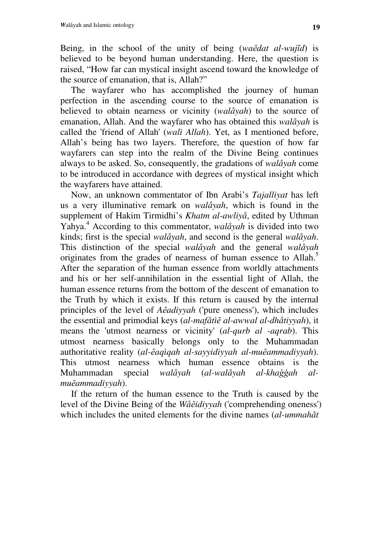Being, in the school of the unity of being (*wa*ĕ*dat al-wuj*ĩ*d*) is believed to be beyond human understanding. Here, the question is raised, "How far can mystical insight ascend toward the knowledge of the source of emanation, that is, Allah?"

The wayfarer who has accomplished the journey of human perfection in the ascending course to the source of emanation is believed to obtain nearness or vicinity (*walåyah*) to the source of emanation, Allah. And the wayfarer who has obtained this *walåyah* is called the 'friend of Allah' (*walì Allah*). Yet, as I mentioned before, Allah's being has two layers. Therefore, the question of how far wayfarers can step into the realm of the Divine Being continues always to be asked. So, consequently, the gradations of *walåyah* come to be introduced in accordance with degrees of mystical insight which the wayfarers have attained.

Now, an unknown commentator of Ibn Arabi's *Tajalliyat* has left us a very illuminative remark on *walåyah*, which is found in the supplement of Hakim Tirmidhi's *Khatm al-awliyå*, edited by Uthman Yahya.<sup>4</sup> According to this commentator, *walåyah* is divided into two kinds; first is the special *walåyah*, and second is the general *walåyah*. This distinction of the special *walåyah* and the general *walåyah* originates from the grades of nearness of human essence to Allah.<sup>5</sup> After the separation of the human essence from worldly attachments and his or her self-annihilation in the essential light of Allah, the human essence returns from the bottom of the descent of emanation to the Truth by which it exists. If this return is caused by the internal principles of the level of *A*ĕ*adiyyah* ('pure oneness'), which includes the essential and primodial keys (*al-mafåtì*ĕ *al-awwal al-dhåtiyyah*), it means the 'utmost nearness or vicinity' (*al-qurb al -aqrab*). This utmost nearness basically belongs only to the Muhammadan authoritative reality (*al-*ĕ*aqìqah al-sayyidiyyah al-mu*ĕ*ammadiyyah*). This utmost nearness which human essence obtains is the Muhammadan special *walåyah* (*al-walåyah al-kha*ģģ*ah almu*ĕ*ammadiyyah*).

If the return of the human essence to the Truth is caused by the level of the Divine Being of the *Wå*ĕ*idiyyah* ('comprehending oneness') which includes the united elements for the divine names (*al-ummahåt*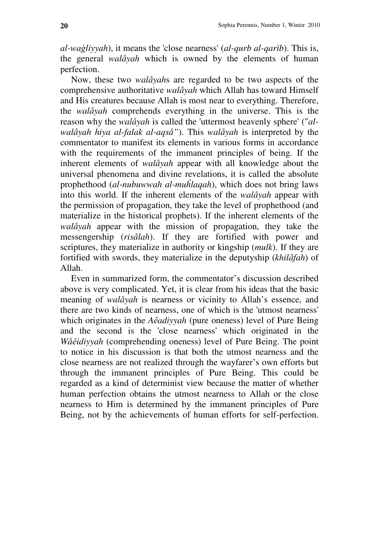*al-wa*ģ*liyyah*), it means the 'close nearness' (*al-qurb al-qarìb*). This is, the general *walåyah* which is owned by the elements of human perfection.

Now, these two *walåyah*s are regarded to be two aspects of the comprehensive authoritative *walåyah* which Allah has toward Himself and His creatures because Allah is most near to everything. Therefore, the *walåyah* comprehends everything in the universe. This is the reason why the *walåyah* is called the 'uttermost heavenly sphere' ("*alwalåyah hiya al-falak al-aqså"*). This *walåyah* is interpreted by the commentator to manifest its elements in various forms in accordance with the requirements of the immanent principles of being. If the inherent elements of *walåyah* appear with all knowledge about the universal phenomena and divine revelations, it is called the absolute prophethood (*al-nubuwwah al-mu*ĥ*laqah*), which does not bring laws into this world. If the inherent elements of the *walåyah* appear with the permission of propagation, they take the level of prophethood (and materialize in the historical prophets). If the inherent elements of the *walåyah* appear with the mission of propagation, they take the messengership (*risålah*). If they are fortified with power and scriptures, they materialize in authority or kingship (*mulk*). If they are fortified with swords, they materialize in the deputyship (*khilåfah*) of Allah.

Even in summarized form, the commentator's discussion described above is very complicated. Yet, it is clear from his ideas that the basic meaning of *walåyah* is nearness or vicinity to Allah's essence, and there are two kinds of nearness, one of which is the 'utmost nearness' which originates in the *A*ĕ*adiyyah* (pure oneness) level of Pure Being and the second is the 'close nearness' which originated in the *Wå*ĕ*idiyyah* (comprehending oneness) level of Pure Being. The point to notice in his discussion is that both the utmost nearness and the close nearness are not realized through the wayfarer's own efforts but through the immanent principles of Pure Being. This could be regarded as a kind of determinist view because the matter of whether human perfection obtains the utmost nearness to Allah or the close nearness to Him is determined by the immanent principles of Pure Being, not by the achievements of human efforts for self-perfection.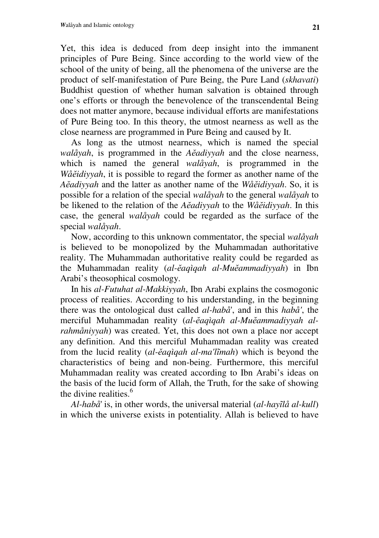Yet, this idea is deduced from deep insight into the immanent principles of Pure Being. Since according to the world view of the school of the unity of being, all the phenomena of the universe are the product of self-manifestation of Pure Being, the Pure Land (*skhavati*) Buddhist question of whether human salvation is obtained through one's efforts or through the benevolence of the transcendental Being does not matter anymore, because individual efforts are manifestations of Pure Being too. In this theory, the utmost nearness as well as the close nearness are programmed in Pure Being and caused by It.

As long as the utmost nearness, which is named the special *walåyah*, is programmed in the *A*ĕ*adiyyah* and the close nearness, which is named the general *walåyah*, is programmed in the *Wå*ĕ*idiyyah*, it is possible to regard the former as another name of the *A*ĕ*adiyyah* and the latter as another name of the *Wå*ĕ*idiyyah*. So, it is possible for a relation of the special *walåyah* to the general *walåyah* to be likened to the relation of the *A*ĕ*adiyyah* to the *Wå*ĕ*idiyyah*. In this case, the general *walåyah* could be regarded as the surface of the special *walåyah*.

Now, according to this unknown commentator, the special *walåyah* is believed to be monopolized by the Muhammadan authoritative reality. The Muhammadan authoritative reality could be regarded as the Muhammadan reality (*al-*ĕ*aqìqah al-Mu*ĕ*ammadiyyah*) in Ibn Arabi's theosophical cosmology.

In his *al-Futuhat al-Makkiyyah*, Ibn Arabi explains the cosmogonic process of realities. According to his understanding, in the beginning there was the ontological dust called *al-habå*', and in this *habå'*, the merciful Muhammadan reality (*al-*ĕ*aqìqah al-Mu*ĕ*ammadiyyah alrahmåniyyah*) was created. Yet, this does not own a place nor accept any definition. And this merciful Muhammadan reality was created from the lucid reality (*al-*ĕ*aqìqah al-ma'l*ĩ*mah*) which is beyond the characteristics of being and non-being. Furthermore, this merciful Muhammadan reality was created according to Ibn Arabi's ideas on the basis of the lucid form of Allah, the Truth, for the sake of showing the divine realities. $<sup>6</sup>$ </sup>

*Al-habå*' is, in other words, the universal material (*al-hay*ĩ*lå al-kull*) in which the universe exists in potentiality. Allah is believed to have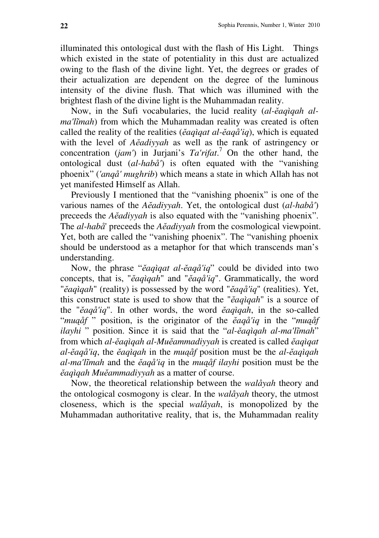illuminated this ontological dust with the flash of His Light. Things which existed in the state of potentiality in this dust are actualized owing to the flash of the divine light. Yet, the degrees or grades of their actualization are dependent on the degree of the luminous intensity of the divine flush. That which was illumined with the brightest flash of the divine light is the Muhammadan reality.

Now, in the Sufi vocabularies, the lucid reality (*al-*ĕ*aqìqah alma'līmah*) from which the Muhammadan reality was created is often called the reality of the realities (ĕ*aqìqat al-*ĕ*aqå'iq*), which is equated with the level of *A*ĕ*adiyyah* as well as the rank of astringency or concentration (*jam'*) in Jurjani's *Ta'rifat*. <sup>7</sup> On the other hand, the ontological dust (*al-habå'*) is often equated with the "vanishing phoenix" (*'anqå' mughrib*) which means a state in which Allah has not yet manifested Himself as Allah.

Previously I mentioned that the "vanishing phoenix" is one of the various names of the *A*ĕ*adiyyah*. Yet, the ontological dust (*al-habå'*) preceeds the *A*ĕ*adiyyah* is also equated with the "vanishing phoenix". The *al-habå*' preceeds the *A*ĕ*adiyyah* from the cosmological viewpoint. Yet, both are called the "vanishing phoenix". The "vanishing phoenix should be understood as a metaphor for that which transcends man's understanding.

Now, the phrase "ĕ*aqìqat al-*ĕ*aqå'iq*" could be divided into two concepts, that is, "ĕ*aqìqah*" and "ĕ*aqå'iq*". Grammatically, the word "ĕ*aqìqah*" (reality) is possessed by the word "ĕ*aqå'iq*" (realities). Yet, this construct state is used to show that the "ĕ*aqìqah*" is a source of the "ĕ*aqå'iq*". In other words, the word ĕ*aqìqah*, in the so-called "*mu*ą*åf* " position, is the originator of the ĕ*aqå'iq* in the "*mu*ą*åf ilayhi* " position. Since it is said that the "*al-*ĕ*aqìqah al-ma'l*ĩ*mah*" from which *al-*ĕ*aqìqah al-Mu*ĕ*ammadiyyah* is created is called ĕ*aqìqat al-*ĕ*aqå'iq*, the ĕ*aqìqah* in the *mu*ą*åf* position must be the *al-*ĕ*aqìqah al-ma'l*ĩ*mah* and the ĕ*aqå'iq* in the *mu*ą*åf ilayhi* position must be the ĕ*aqìqah Mu*ĕ*ammadiyyah* as a matter of course.

Now, the theoretical relationship between the *walåyah* theory and the ontological cosmogony is clear. In the *walåyah* theory, the utmost closeness, which is the special *walåyah*, is monopolized by the Muhammadan authoritative reality, that is, the Muhammadan reality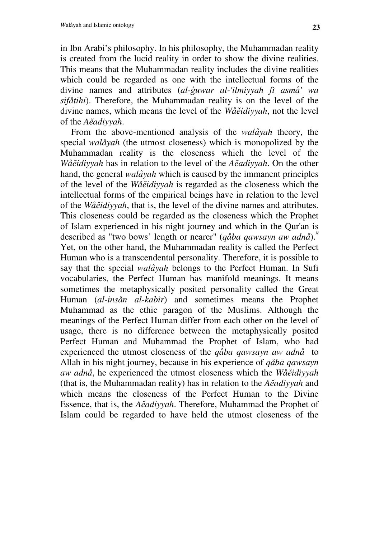in Ibn Arabi's philosophy. In his philosophy, the Muhammadan reality is created from the lucid reality in order to show the divine realities. This means that the Muhammadan reality includes the divine realities which could be regarded as one with the intellectual forms of the divine names and attributes (*al-*ģ*uwar al-'ilmiyyah fì asmå' wa sifåtihi*). Therefore, the Muhammadan reality is on the level of the divine names, which means the level of the *Wå*ĕ*idiyyah*, not the level of the *A*ĕ*adiyyah*.

From the above-mentioned analysis of the *walåyah* theory, the special *walåyah* (the utmost closeness) which is monopolized by the Muhammadan reality is the closeness which the level of the *Wå*ĕ*idiyyah* has in relation to the level of the *A*ĕ*adiyyah*. On the other hand, the general *walåyah* which is caused by the immanent principles of the level of the *Wå*ĕ*idiyyah* is regarded as the closeness which the intellectual forms of the empirical beings have in relation to the level of the *Wå*ĕ*idiyyah*, that is, the level of the divine names and attributes. This closeness could be regarded as the closeness which the Prophet of Islam experienced in his night journey and which in the Qur'an is described as "two bows' length or nearer" (*qåba qawsayn aw adnå*).*<sup>8</sup>* Yet, on the other hand, the Muhammadan reality is called the Perfect Human who is a transcendental personality. Therefore, it is possible to say that the special *walåyah* belongs to the Perfect Human. In Sufi vocabularies, the Perfect Human has manifold meanings. It means sometimes the metaphysically posited personality called the Great Human (*al-insån al-kabìr*) and sometimes means the Prophet Muhammad as the ethic paragon of the Muslims. Although the meanings of the Perfect Human differ from each other on the level of usage, there is no difference between the metaphysically posited Perfect Human and Muhammad the Prophet of Islam, who had experienced the utmost closeness of the *qåba qawsayn aw adnå* to Allah in his night journey, because in his experience of *qåba qawsayn aw adnå*, he experienced the utmost closeness which the *Wå*ĕ*idiyyah* (that is, the Muhammadan reality) has in relation to the *A*ĕ*adiyyah* and which means the closeness of the Perfect Human to the Divine Essence, that is, the *A*ĕ*adiyyah*. Therefore, Muhammad the Prophet of Islam could be regarded to have held the utmost closeness of the